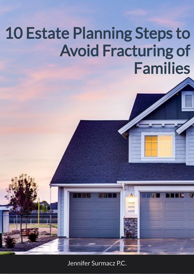Jennifer Surmacz P.C.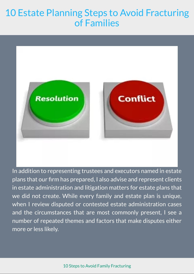

In addition to representing trustees and executors named in estate plans that our firm has prepared, I also advise and represent clients in estate administration and litigation matters for estate plans that we did not create. While every family and estate plan is unique, when I review disputed or contested estate administration cases and the circumstances that are most commonly present, I see a number of repeated themes and factors that make disputes either more or less likely.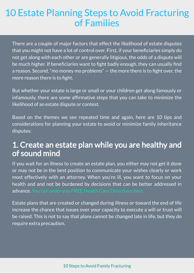There are a couple of major factors that effect the likelihood of estate disputes that you might not have a lot of control over. First, if your beneficiaries simply do not get along with each other or are generally litigious, the odds of a dispute will be much higher. If beneficiaries want to fight badly enough, they can usually find a reason. Second, "mo money mo problems"  $-$  the more there is to fight over, the more reason there is to fight.

But whether your estate is large or small or your children get along famously or infamously, there are some affirmative steps that you can take to minimize the likelihood of an estate dispute or contest.

Based on the themes we see repeated time and again, here are 10 tips and considerations for planning your estate to avoid or minimize family inheritance disputes:

#### 1. Create an estate plan while you are healthy and of sound mind

If you wait for an illness to create an estate plan, you either may not get it done or may not be in the best position to communicate your wishes clearly or work most effectively with an attorney. When you're ill, you want to focus on your health and and not be burdened by decisions that can be better addressed in advance. You can order you FREE Health Care [Directives](https://www.integratedtrustsystems.com/ODQ/Short.asp?ID=819060&Type=SFQHCB) here.

Estate plans that are created or changed during illness or toward the end of life increase the chance that issues over your capacity to execute a will or trust will be raised. This is not to say that plans cannot be changed late in life, but they do require extra precaution.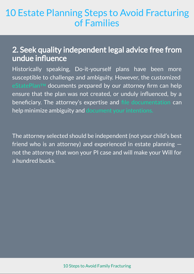#### 2. Seek quality independent legal advice free from undue influence

Historically speaking, Do-it-yourself plans have been more susceptible to challenge and ambiguity. However, the customized [eStatePlan](https://vimeo.com/279566740)™ documents prepared by our attorney firm can help ensure that the plan was not created, or unduly influenced, by a beneficiary. The attorney's expertise and file [documentation](https://www.integratedtrustsystems.com/ODQ/Short.asp?ID=819060&Type=SFQDTB) can help minimize ambiguity and document your [intentions.](https://www.integratedtrustsystems.com/ODQ/Short.asp?ID=819060&Type=SFQDTB)

The attorney selected should be independent (not your child's best friend who is an attorney) and experienced in estate planning not the attorney that won your PI case and will make your Will for a hundred bucks.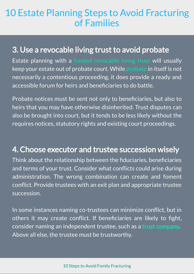#### 3. Use a revocable living trust to avoid probate

Estate planning with a [funded](https://www.mylifecardplan.com/MLCP/MembershipBenefits.PDF) [revocable](https://vimeo.com/279566740) living trust will usually keep your estate out of probate court. While [probate](mailto:mailto:jennifer@estateplantm.com) in itself is not necessarily a contentious proceeding, it does provide a ready and accessible forum for heirs and beneficiaries to do battle.

Probate notices must be sent not only to beneficiaries, but also to heirs that you may have otherwise disinherited. Trust disputes can also be brought into court, but it tends to be less likely without the requires notices, statutory rights and existing court proceedings.

### 4. Choose executor and trustee succession wisely

Think about the relationship between the fiduciaries, beneficiaries and terms of your trust. Consider what conflicts could arise during administration. The wrong combination can create and foment conflict. Provide trustees with an exit plan and appropriate trustee succession.

In some instances naming co-trustees can minimize conflict, but in others it may create conflict. If beneficiaries are likely to fight, consider naming an independent trustee, such as a **[trust company](https://tbaz.com/).** Above all else, the trustee must be trustworthy.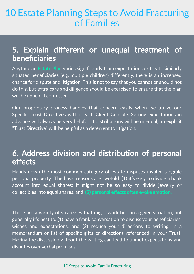#### 5. Explain different or unequal treatment of beneficiaries

Anytime an [Estate Plan](https://www.mylifecardplan.com/MLCP/MainPage.asp) varies significantly from expectations or treats similarly situated beneficiaries (e.g. multiple children) differently, there is an increased chance for dispute and litigation. This is not to say that you cannot or should not do this, but extra care and diligence should be exercised to ensure that the plan will be upheld if contested.

Our proprietary process handles that concern easily when we utilize our Specific Trust Directives within each Client Console. Setting expectations in advance will always be very helpful. If distributions will be unequal, an explicit "Trust Directive" will be helpful as a deterrent to litigation.

#### 6. Address division and distribution of personal effects

Hands down the most common category of estate disputes involve tangible personal property. The basic reasons are twofold: (1) it's easy to divide a bank account into equal shares; it might not be so easy to divide jewelry or collectibles into equal shares, and [\(2\) personal effects often evoke emotion.](https://www.financial-planning.com/slideshow/financial-advisors-say-clients-are-making-these-estate-planning-mistakes#slide-1)

There are a variety of strategies that might work best in a given situation, but generally it's best to: (1) have a frank conversation to discuss your beneficiaries' wishes and expectations, and (2) reduce your directions to writing, in a memorandum or list of specific gifts or directions referenced in your Trust. Having the discussion without the writing can lead to unmet expectations and disputes over verbal promises.

#### 10 Steps to Avoid Family [Fracturing](https://tbaz.com/solutions/legacy-building)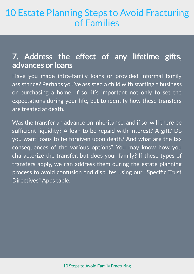#### 7. Address the effect of any lifetime gifts, advances or loans

Have you made intra-family loans or provided informal family assistance? Perhaps you've assisted a child with starting a business or purchasing a home. If so, it's important not only to set the expectations during your life, but to identify how these transfers are treated at death.

Was the transfer an advance on inheritance, and if so, will there be sufficient liquidity? A loan to be repaid with interest? A gift? Do you want loans to be forgiven upon death? And what are the tax consequences of the various options? You may know how you characterize the transfer, but does your family? If these types of transfers apply, we can address them during the estate planning process to avoid confusion and disputes using our "Specific Trust Directives" Apps table.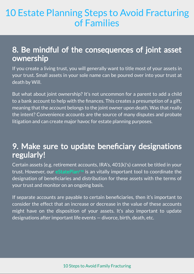#### 8. Be mindful of the consequences of joint asset ownership

If you create a living trust, you will generally want to title most of your assets in your trust. Small assets in your sole name can be poured over into your trust at death by Will.

But what about joint ownership? It's not uncommon for a parent to add a child to a bank account to help with the finances. This creates a presumption of a gift, meaning that the account belongs to the joint owner upon death. Was that really the intent? Convenience accounts are the source of many disputes and probate litigation and can create major havoc for estate planning purposes.

#### 9. Make sure to update beneficiary designations regularly!

Certain assets (e.g. retirement accounts, IRA's, 401(k)'s) cannot be titled in your trust. However, our [eStatePlan](https://www.mylifecardplan.com/MLCP/MainPage.asp)**™** is an vitally important tool to coordinate the designation of beneficiaries and distribution for these assets with the terms of your trust and monitor on an ongoing basis.

If separate accounts are payable to certain beneficiaries, then it's important to consider the effect that an increase or decrease in the value of these accounts might have on the disposition of your assets. It's also important to update designations after important life events — divorce, birth, death, etc.